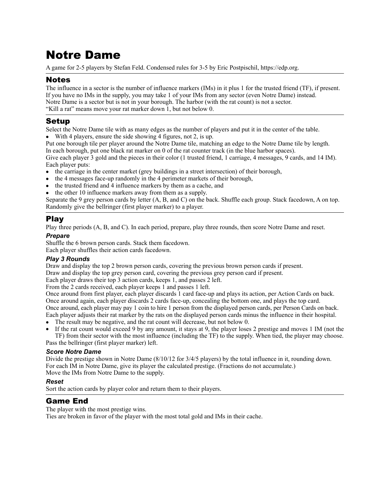# Notre Dame

A game for 2-5 players by Stefan Feld. Condensed rules for 3-5 by Eric Postpischil,<https://edp.org>.

## Notes

The influence in a sector is the number of influence markers (IMs) in it plus 1 for the trusted friend (TF), if present. If you have no IMs in the supply, you may take 1 of your IMs from any sector (even Notre Dame) instead. Notre Dame is a sector but is not in your borough. The harbor (with the rat count) is not a sector. "Kill a rat" means move your rat marker down 1, but not below 0.

# Setup

Select the Notre Dame tile with as many edges as the number of players and put it in the center of the table.

With 4 players, ensure the side showing 4 figures, not 2, is up.

Put one borough tile per player around the Notre Dame tile, matching an edge to the Notre Dame tile by length.

In each borough, put one black rat marker on 0 of the rat counter track (in the blue harbor spaces). Give each player 3 gold and the pieces in their color (1 trusted friend, 1 carriage, 4 messages, 9 cards, and 14 IM). Each player puts:

- the carriage in the center market (grey buildings in a street intersection) of their borough,
- the 4 messages face-up randomly in the 4 perimeter markets of their borough,
- the trusted friend and 4 influence markers by them as a cache, and
- the other 10 influence markers away from them as a supply.

Separate the 9 grey person cards by letter (A, B, and C) on the back. Shuffle each group. Stack facedown, A on top. Randomly give the bellringer (first player marker) to a player.

## Play

Play three periods (A, B, and C). In each period, prepare, play three rounds, then score Notre Dame and reset.

## *Prepare*

Shuffle the 6 brown person cards. Stack them facedown.

Each player shuffles their action cards facedown.

## *Play 3 Rounds*

Draw and display the top 2 brown person cards, covering the previous brown person cards if present.

Draw and display the top grey person card, covering the previous grey person card if present.

Each player draws their top 3 action cards, keeps 1, and passes 2 left.

From the 2 cards received, each player keeps 1 and passes 1 left.

Once around from first player, each player discards 1 card face-up and plays its action, per Action Cards on back. Once around again, each player discards 2 cards face-up, concealing the bottom one, and plays the top card. Once around, each player may pay 1 coin to hire 1 person from the displayed person cards, per Person Cards on back.

Each player adjusts their rat marker by the rats on the displayed person cards minus the influence in their hospital.

- The result may be negative, and the rat count will decrease, but not below 0.
- If the rat count would exceed 9 by any amount, it stays at 9, the player loses 2 prestige and moves 1 IM (not the TF) from their sector with the most influence (including the TF) to the supply. When tied, the player may choose. Pass the bellringer (first player marker) left.

## *Score Notre Dame*

Divide the prestige shown in Notre Dame (8/10/12 for 3/4/5 players) by the total influence in it, rounding down. For each IM in Notre Dame, give its player the calculated prestige. (Fractions do not accumulate.) Move the IMs from Notre Dame to the supply.

## *Reset*

Sort the action cards by player color and return them to their players.

## Game End

The player with the most prestige wins.

Ties are broken in favor of the player with the most total gold and IMs in their cache.